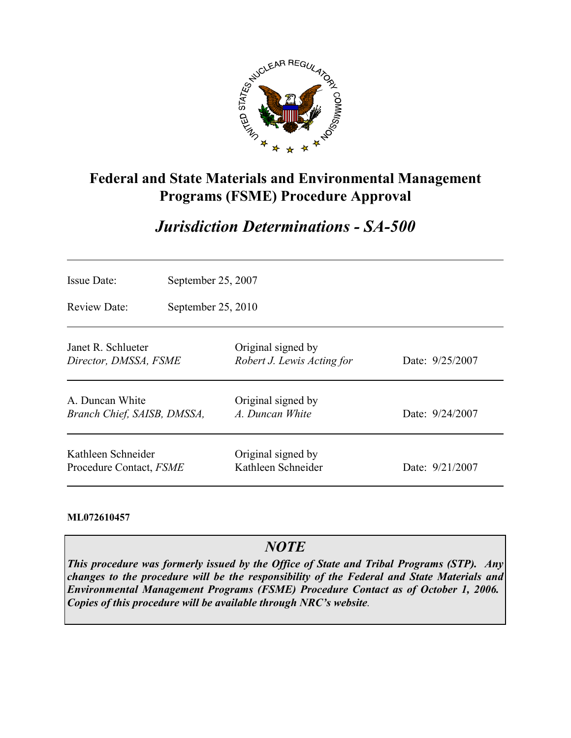

## **Federal and State Materials and Environmental Management Programs (FSME) Procedure Approval**

# *Jurisdiction Determinations - SA-500*

| <b>Issue Date:</b>                             | September 25, 2007<br>September $25, 2010$ |                                                  |                   |  |
|------------------------------------------------|--------------------------------------------|--------------------------------------------------|-------------------|--|
| Review Date:                                   |                                            |                                                  |                   |  |
| Janet R. Schlueter<br>Director, DMSSA, FSME    |                                            | Original signed by<br>Robert J. Lewis Acting for | Date: 9/25/2007   |  |
| A. Duncan White<br>Branch Chief, SAISB, DMSSA, |                                            | Original signed by<br>A. Duncan White            | Date: 9/24/2007   |  |
| Kathleen Schneider<br>Procedure Contact, FSME  |                                            | Original signed by<br>Kathleen Schneider         | Date: $9/21/2007$ |  |

#### **ML072610457**

## *NOTE*

*This procedure was formerly issued by the Office of State and Tribal Programs (STP). Any changes to the procedure will be the responsibility of the Federal and State Materials and Environmental Management Programs (FSME) Procedure Contact as of October 1, 2006. Copies of this procedure will be available through NRC's website.*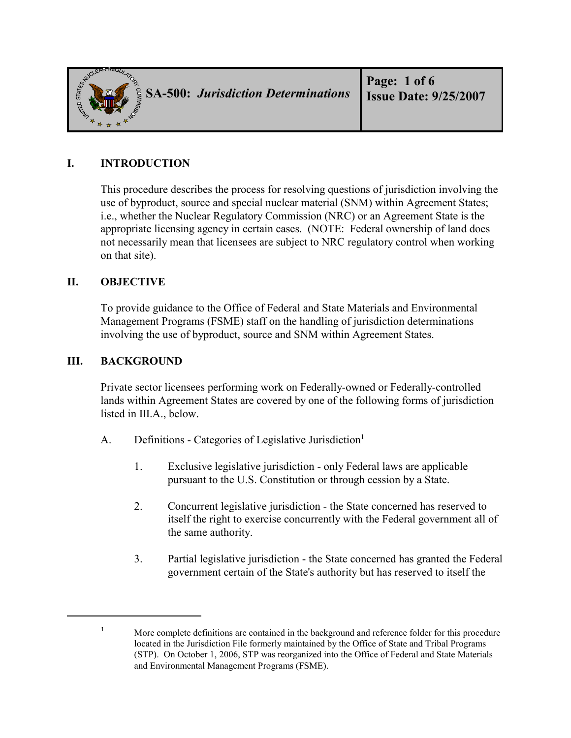

## **I. INTRODUCTION**

This procedure describes the process for resolving questions of jurisdiction involving the use of byproduct, source and special nuclear material (SNM) within Agreement States; i.e., whether the Nuclear Regulatory Commission (NRC) or an Agreement State is the appropriate licensing agency in certain cases. (NOTE: Federal ownership of land does not necessarily mean that licensees are subject to NRC regulatory control when working on that site).

#### **II. OBJECTIVE**

To provide guidance to the Office of Federal and State Materials and Environmental Management Programs (FSME) staff on the handling of jurisdiction determinations involving the use of byproduct, source and SNM within Agreement States.

#### **III. BACKGROUND**

Private sector licensees performing work on Federally-owned or Federally-controlled lands within Agreement States are covered by one of the following forms of jurisdiction listed in III.A., below.

- A. Definitions Categories of Legislative Jurisdiction<sup>1</sup>
	- 1. Exclusive legislative jurisdiction only Federal laws are applicable pursuant to the U.S. Constitution or through cession by a State.
	- 2. Concurrent legislative jurisdiction the State concerned has reserved to itself the right to exercise concurrently with the Federal government all of the same authority.
	- 3. Partial legislative jurisdiction the State concerned has granted the Federal government certain of the State's authority but has reserved to itself the

<sup>&</sup>lt;sup>1</sup> More complete definitions are contained in the background and reference folder for this procedure located in the Jurisdiction File formerly maintained by the Office of State and Tribal Programs (STP). On October 1, 2006, STP was reorganized into the Office of Federal and State Materials and Environmental Management Programs (FSME).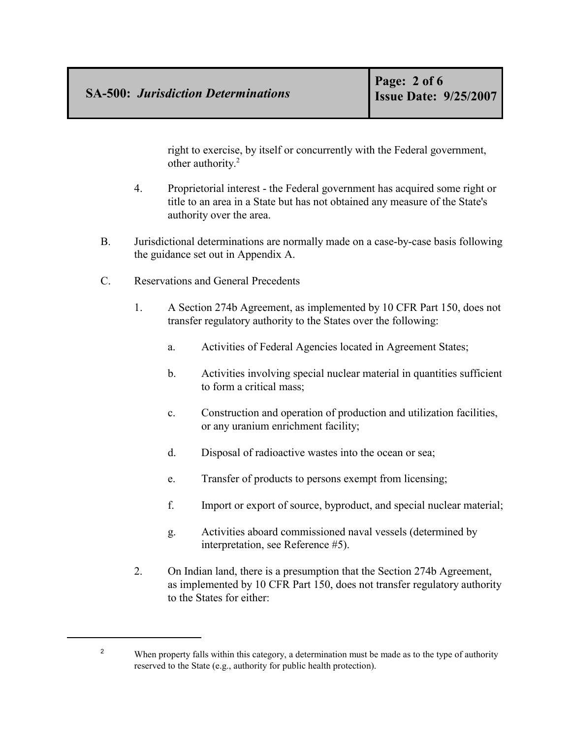right to exercise, by itself or concurrently with the Federal government, other authority.<sup>2</sup>

- 4. Proprietorial interest the Federal government has acquired some right or title to an area in a State but has not obtained any measure of the State's authority over the area.
- B. Jurisdictional determinations are normally made on a case-by-case basis following the guidance set out in Appendix A.
- C. Reservations and General Precedents
	- 1. A Section 274b Agreement, as implemented by 10 CFR Part 150, does not transfer regulatory authority to the States over the following:
		- a. Activities of Federal Agencies located in Agreement States;
		- b. Activities involving special nuclear material in quantities sufficient to form a critical mass;
		- c. Construction and operation of production and utilization facilities, or any uranium enrichment facility;
		- d. Disposal of radioactive wastes into the ocean or sea;
		- e. Transfer of products to persons exempt from licensing;
		- f. Import or export of source, byproduct, and special nuclear material;
		- g. Activities aboard commissioned naval vessels (determined by interpretation, see Reference #5).
	- 2. On Indian land, there is a presumption that the Section 274b Agreement, as implemented by 10 CFR Part 150, does not transfer regulatory authority to the States for either:

<sup>&</sup>lt;sup>2</sup> When property falls within this category, a determination must be made as to the type of authority reserved to the State (e.g., authority for public health protection).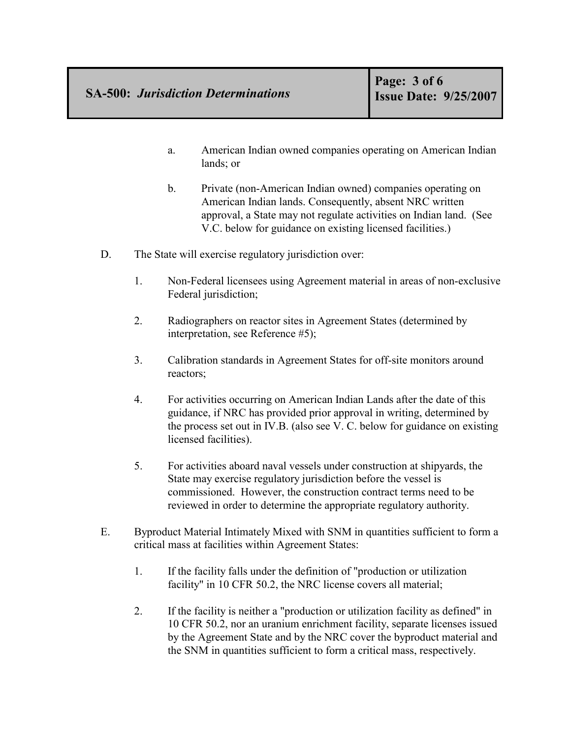- a. American Indian owned companies operating on American Indian lands; or
- b. Private (non-American Indian owned) companies operating on American Indian lands. Consequently, absent NRC written approval, a State may not regulate activities on Indian land. (See V.C. below for guidance on existing licensed facilities.)
- D. The State will exercise regulatory jurisdiction over:
	- 1. Non-Federal licensees using Agreement material in areas of non-exclusive Federal jurisdiction;
	- 2. Radiographers on reactor sites in Agreement States (determined by interpretation, see Reference #5);
	- 3. Calibration standards in Agreement States for off-site monitors around reactors;
	- 4. For activities occurring on American Indian Lands after the date of this guidance, if NRC has provided prior approval in writing, determined by the process set out in IV.B. (also see V. C. below for guidance on existing licensed facilities).
	- 5. For activities aboard naval vessels under construction at shipyards, the State may exercise regulatory jurisdiction before the vessel is commissioned. However, the construction contract terms need to be reviewed in order to determine the appropriate regulatory authority.
- E. Byproduct Material Intimately Mixed with SNM in quantities sufficient to form a critical mass at facilities within Agreement States:
	- 1. If the facility falls under the definition of "production or utilization facility" in 10 CFR 50.2, the NRC license covers all material;
	- 2. If the facility is neither a "production or utilization facility as defined" in 10 CFR 50.2, nor an uranium enrichment facility, separate licenses issued by the Agreement State and by the NRC cover the byproduct material and the SNM in quantities sufficient to form a critical mass, respectively.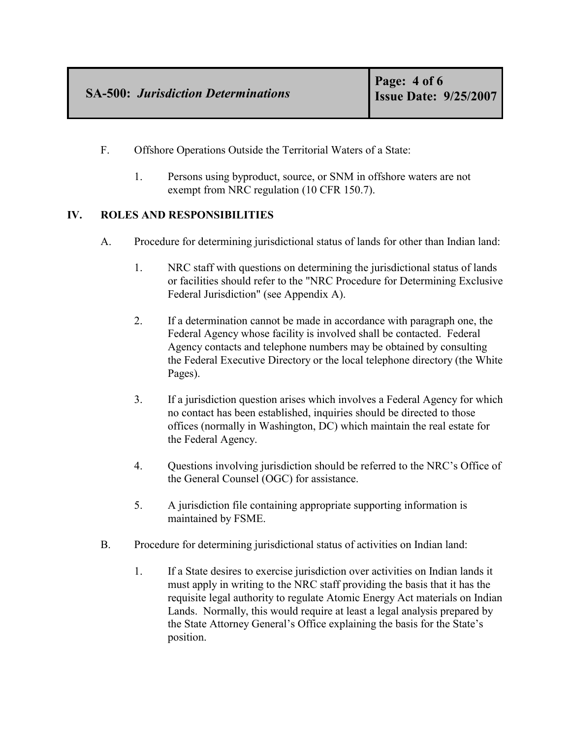- F. Offshore Operations Outside the Territorial Waters of a State:
	- 1. Persons using byproduct, source, or SNM in offshore waters are not exempt from NRC regulation (10 CFR 150.7).

### **IV. ROLES AND RESPONSIBILITIES**

- A. Procedure for determining jurisdictional status of lands for other than Indian land:
	- 1. NRC staff with questions on determining the jurisdictional status of lands or facilities should refer to the "NRC Procedure for Determining Exclusive Federal Jurisdiction" (see Appendix A).
	- 2. If a determination cannot be made in accordance with paragraph one, the Federal Agency whose facility is involved shall be contacted. Federal Agency contacts and telephone numbers may be obtained by consulting the Federal Executive Directory or the local telephone directory (the White Pages).
	- 3. If a jurisdiction question arises which involves a Federal Agency for which no contact has been established, inquiries should be directed to those offices (normally in Washington, DC) which maintain the real estate for the Federal Agency.
	- 4. Questions involving jurisdiction should be referred to the NRC's Office of the General Counsel (OGC) for assistance.
	- 5. A jurisdiction file containing appropriate supporting information is maintained by FSME.
- B. Procedure for determining jurisdictional status of activities on Indian land:
	- 1. If a State desires to exercise jurisdiction over activities on Indian lands it must apply in writing to the NRC staff providing the basis that it has the requisite legal authority to regulate Atomic Energy Act materials on Indian Lands. Normally, this would require at least a legal analysis prepared by the State Attorney General's Office explaining the basis for the State's position.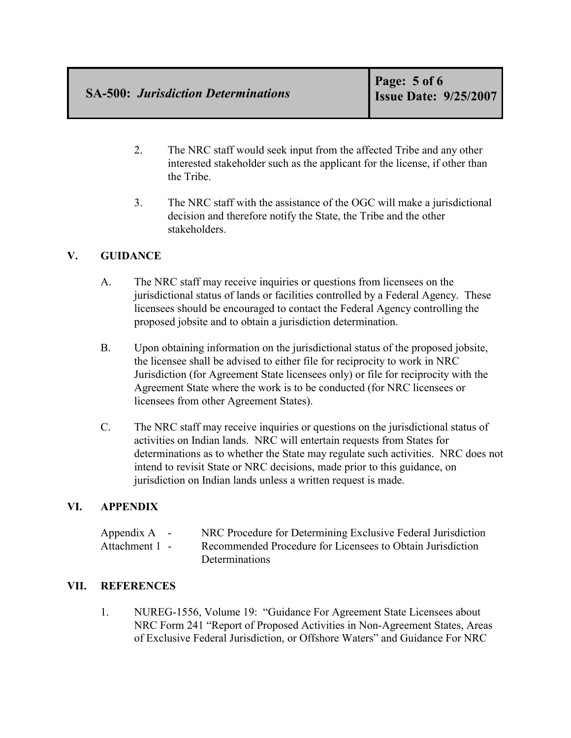- 2. The NRC staff would seek input from the affected Tribe and any other interested stakeholder such as the applicant for the license, if other than the Tribe.
- 3. The NRC staff with the assistance of the OGC will make a jurisdictional decision and therefore notify the State, the Tribe and the other stakeholders.

## **V. GUIDANCE**

- A. The NRC staff may receive inquiries or questions from licensees on the jurisdictional status of lands or facilities controlled by a Federal Agency. These licensees should be encouraged to contact the Federal Agency controlling the proposed jobsite and to obtain a jurisdiction determination.
- B. Upon obtaining information on the jurisdictional status of the proposed jobsite, the licensee shall be advised to either file for reciprocity to work in NRC Jurisdiction (for Agreement State licensees only) or file for reciprocity with the Agreement State where the work is to be conducted (for NRC licensees or licensees from other Agreement States).
- C. The NRC staff may receive inquiries or questions on the jurisdictional status of activities on Indian lands. NRC will entertain requests from States for determinations as to whether the State may regulate such activities. NRC does not intend to revisit State or NRC decisions, made prior to this guidance, on jurisdiction on Indian lands unless a written request is made.

## **VI. APPENDIX**

| Appendix $A -$ | NRC Procedure for Determining Exclusive Federal Jurisdiction |
|----------------|--------------------------------------------------------------|
| Attachment 1 - | Recommended Procedure for Licensees to Obtain Jurisdiction   |
|                | Determinations                                               |

## **VII. REFERENCES**

1. NUREG-1556, Volume 19: "Guidance For Agreement State Licensees about NRC Form 241 "Report of Proposed Activities in Non-Agreement States, Areas of Exclusive Federal Jurisdiction, or Offshore Waters" and Guidance For NRC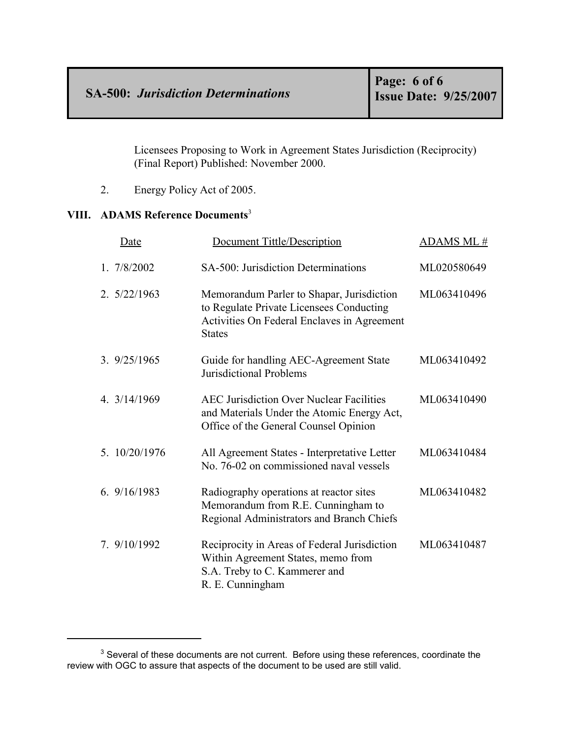Licensees Proposing to Work in Agreement States Jurisdiction (Reciprocity) (Final Report) Published: November 2000.

2. Energy Policy Act of 2005.

#### **VIII. ADAMS Reference Documents**<sup>3</sup>

| Date          | <b>Document Tittle/Description</b>                                                                                                                    | ADAMS ML#   |
|---------------|-------------------------------------------------------------------------------------------------------------------------------------------------------|-------------|
| 1.7/8/2002    | SA-500: Jurisdiction Determinations                                                                                                                   | ML020580649 |
| 2.5/22/1963   | Memorandum Parler to Shapar, Jurisdiction<br>to Regulate Private Licensees Conducting<br>Activities On Federal Enclaves in Agreement<br><b>States</b> | ML063410496 |
| 3.9/25/1965   | Guide for handling AEC-Agreement State<br>Jurisdictional Problems                                                                                     | ML063410492 |
| 4. 3/14/1969  | <b>AEC Jurisdiction Over Nuclear Facilities</b><br>and Materials Under the Atomic Energy Act,<br>Office of the General Counsel Opinion                | ML063410490 |
| 5. 10/20/1976 | All Agreement States - Interpretative Letter<br>No. 76-02 on commissioned naval vessels                                                               | ML063410484 |
| 6.9/16/1983   | Radiography operations at reactor sites<br>Memorandum from R.E. Cunningham to<br>Regional Administrators and Branch Chiefs                            | ML063410482 |
| 7. 9/10/1992  | Reciprocity in Areas of Federal Jurisdiction<br>Within Agreement States, memo from<br>S.A. Treby to C. Kammerer and<br>R. E. Cunningham               | ML063410487 |

 $3$  Several of these documents are not current. Before using these references, coordinate the review with OGC to assure that aspects of the document to be used are still valid.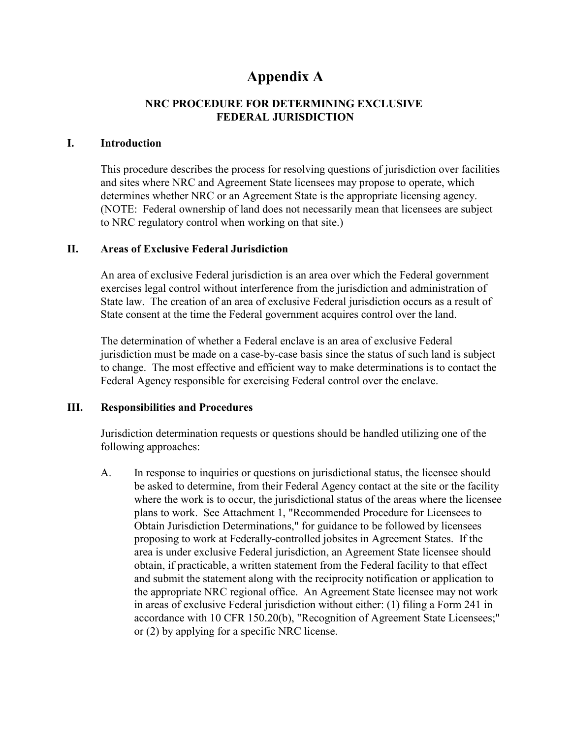# **Appendix A**

## **NRC PROCEDURE FOR DETERMINING EXCLUSIVE FEDERAL JURISDICTION**

#### **I. Introduction**

This procedure describes the process for resolving questions of jurisdiction over facilities and sites where NRC and Agreement State licensees may propose to operate, which determines whether NRC or an Agreement State is the appropriate licensing agency. (NOTE: Federal ownership of land does not necessarily mean that licensees are subject to NRC regulatory control when working on that site.)

#### **II. Areas of Exclusive Federal Jurisdiction**

An area of exclusive Federal jurisdiction is an area over which the Federal government exercises legal control without interference from the jurisdiction and administration of State law. The creation of an area of exclusive Federal jurisdiction occurs as a result of State consent at the time the Federal government acquires control over the land.

The determination of whether a Federal enclave is an area of exclusive Federal jurisdiction must be made on a case-by-case basis since the status of such land is subject to change. The most effective and efficient way to make determinations is to contact the Federal Agency responsible for exercising Federal control over the enclave.

#### **III. Responsibilities and Procedures**

Jurisdiction determination requests or questions should be handled utilizing one of the following approaches:

A. In response to inquiries or questions on jurisdictional status, the licensee should be asked to determine, from their Federal Agency contact at the site or the facility where the work is to occur, the jurisdictional status of the areas where the licensee plans to work. See Attachment 1, "Recommended Procedure for Licensees to Obtain Jurisdiction Determinations," for guidance to be followed by licensees proposing to work at Federally-controlled jobsites in Agreement States. If the area is under exclusive Federal jurisdiction, an Agreement State licensee should obtain, if practicable, a written statement from the Federal facility to that effect and submit the statement along with the reciprocity notification or application to the appropriate NRC regional office. An Agreement State licensee may not work in areas of exclusive Federal jurisdiction without either: (1) filing a Form 241 in accordance with 10 CFR 150.20(b), "Recognition of Agreement State Licensees;" or (2) by applying for a specific NRC license.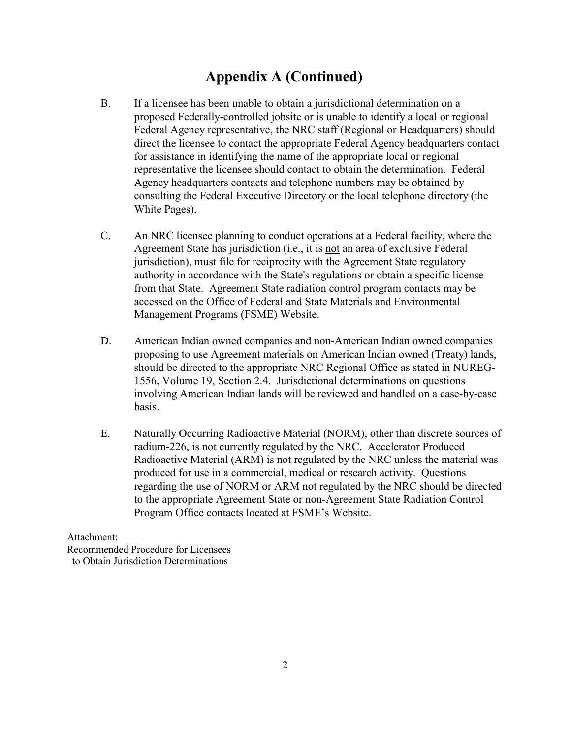## **Appendix A (Continued)**

- B. If a licensee has been unable to obtain a jurisdictional determination on a proposed Federally-controlled jobsite or is unable to identify a local or regional Federal Agency representative, the NRC staff (Regional or Headquarters) should direct the licensee to contact the appropriate Federal Agency headquarters contact for assistance in identifying the name of the appropriate local or regional representative the licensee should contact to obtain the determination. Federal Agency headquarters contacts and telephone numbers may be obtained by consulting the Federal Executive Directory or the local telephone directory (the White Pages).
- C. An NRC licensee planning to conduct operations at a Federal facility, where the Agreement State has jurisdiction (i.e., it is not an area of exclusive Federal jurisdiction), must file for reciprocity with the Agreement State regulatory authority in accordance with the State's regulations or obtain a specific license from that State. Agreement State radiation control program contacts may be accessed on the Office of Federal and State Materials and Environmental Management Programs (FSME) Website.
- D. American Indian owned companies and non-American Indian owned companies proposing to use Agreement materials on American Indian owned (Treaty) lands, should be directed to the appropriate NRC Regional Office as stated in NUREG-1556, Volume 19, Section 2.4. Jurisdictional determinations on questions involving American Indian lands will be reviewed and handled on a case-by-case basis.
- E. Naturally Occurring Radioactive Material (NORM), other than discrete sources of radium-226, is not currently regulated by the NRC. Accelerator Produced Radioactive Material (ARM) is not regulated by the NRC unless the material was produced for use in a commercial, medical or research activity. Questions regarding the use of NORM or ARM not regulated by the NRC should be directed to the appropriate Agreement State or non-Agreement State Radiation Control Program Office contacts located at FSME's Website.

Attachment:

Recommended Procedure for Licensees to Obtain Jurisdiction Determinations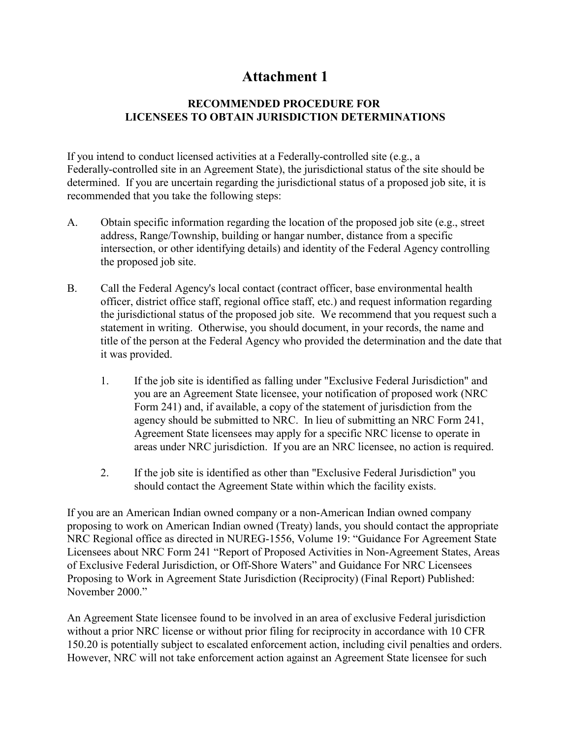## **Attachment 1**

### **RECOMMENDED PROCEDURE FOR LICENSEES TO OBTAIN JURISDICTION DETERMINATIONS**

If you intend to conduct licensed activities at a Federally-controlled site (e.g., a Federally-controlled site in an Agreement State), the jurisdictional status of the site should be determined. If you are uncertain regarding the jurisdictional status of a proposed job site, it is recommended that you take the following steps:

- A. Obtain specific information regarding the location of the proposed job site (e.g., street address, Range/Township, building or hangar number, distance from a specific intersection, or other identifying details) and identity of the Federal Agency controlling the proposed job site.
- B. Call the Federal Agency's local contact (contract officer, base environmental health officer, district office staff, regional office staff, etc.) and request information regarding the jurisdictional status of the proposed job site. We recommend that you request such a statement in writing. Otherwise, you should document, in your records, the name and title of the person at the Federal Agency who provided the determination and the date that it was provided.
	- 1. If the job site is identified as falling under "Exclusive Federal Jurisdiction" and you are an Agreement State licensee, your notification of proposed work (NRC Form 241) and, if available, a copy of the statement of jurisdiction from the agency should be submitted to NRC. In lieu of submitting an NRC Form 241, Agreement State licensees may apply for a specific NRC license to operate in areas under NRC jurisdiction. If you are an NRC licensee, no action is required.
	- 2. If the job site is identified as other than "Exclusive Federal Jurisdiction" you should contact the Agreement State within which the facility exists.

If you are an American Indian owned company or a non-American Indian owned company proposing to work on American Indian owned (Treaty) lands, you should contact the appropriate NRC Regional office as directed in NUREG-1556, Volume 19: "Guidance For Agreement State Licensees about NRC Form 241 "Report of Proposed Activities in Non-Agreement States, Areas of Exclusive Federal Jurisdiction, or Off-Shore Waters" and Guidance For NRC Licensees Proposing to Work in Agreement State Jurisdiction (Reciprocity) (Final Report) Published: November 2000."

An Agreement State licensee found to be involved in an area of exclusive Federal jurisdiction without a prior NRC license or without prior filing for reciprocity in accordance with 10 CFR 150.20 is potentially subject to escalated enforcement action, including civil penalties and orders. However, NRC will not take enforcement action against an Agreement State licensee for such